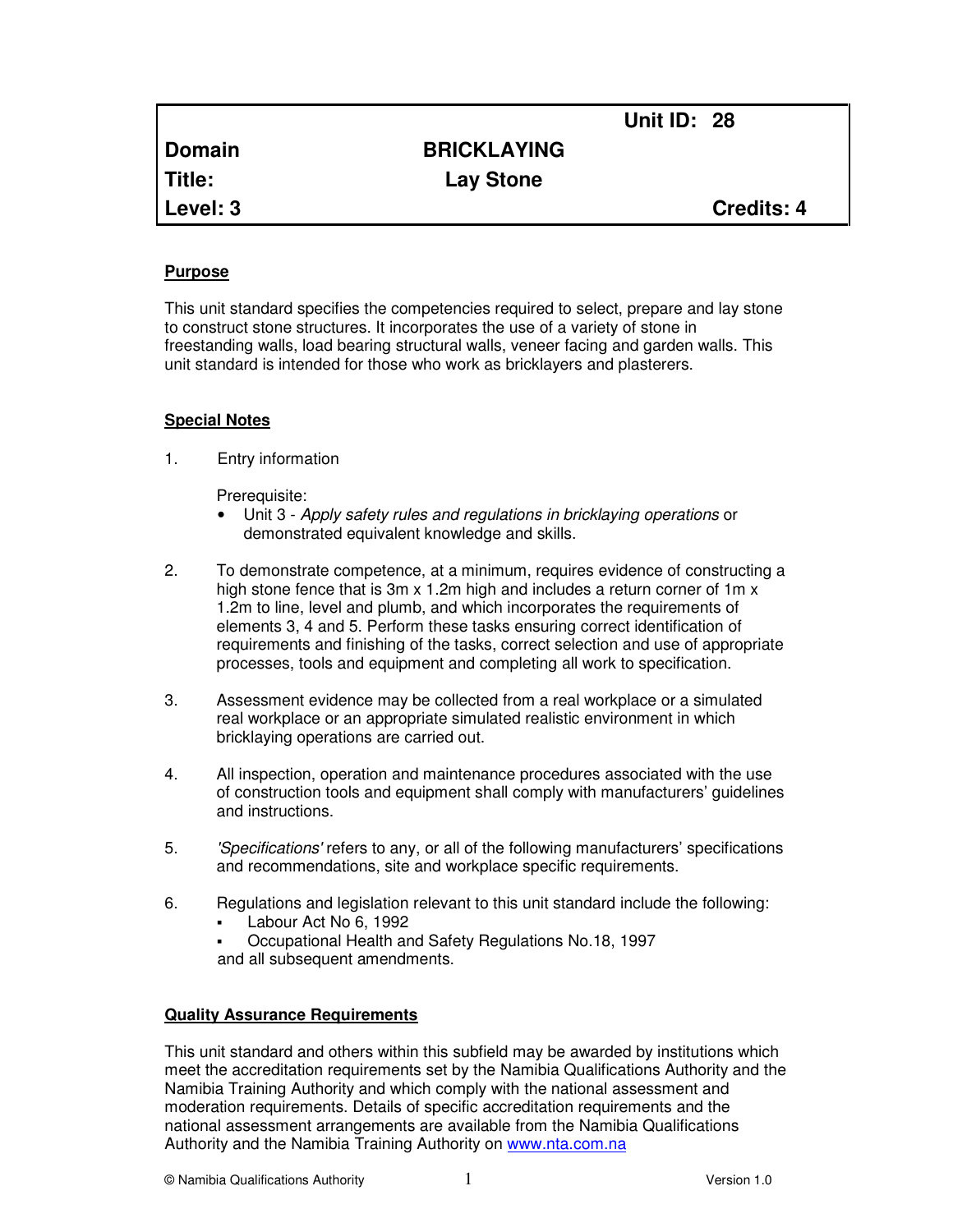|          |                    | <b>Unit ID: 28</b> |                   |
|----------|--------------------|--------------------|-------------------|
| Domain   | <b>BRICKLAYING</b> |                    |                   |
| Title:   | <b>Lay Stone</b>   |                    |                   |
| Level: 3 |                    |                    | <b>Credits: 4</b> |

## **Purpose**

This unit standard specifies the competencies required to select, prepare and lay stone to construct stone structures. It incorporates the use of a variety of stone in freestanding walls, load bearing structural walls, veneer facing and garden walls. This unit standard is intended for those who work as bricklayers and plasterers.

#### **Special Notes**

1. Entry information

Prerequisite:

- Unit 3 Apply safety rules and regulations in bricklaying operations or demonstrated equivalent knowledge and skills.
- 2. To demonstrate competence, at a minimum, requires evidence of constructing a high stone fence that is 3m x 1.2m high and includes a return corner of 1m x 1.2m to line, level and plumb, and which incorporates the requirements of elements 3, 4 and 5. Perform these tasks ensuring correct identification of requirements and finishing of the tasks, correct selection and use of appropriate processes, tools and equipment and completing all work to specification.
- 3. Assessment evidence may be collected from a real workplace or a simulated real workplace or an appropriate simulated realistic environment in which bricklaying operations are carried out.
- 4. All inspection, operation and maintenance procedures associated with the use of construction tools and equipment shall comply with manufacturers' guidelines and instructions.
- 5. 'Specifications' refers to any, or all of the following manufacturers' specifications and recommendations, site and workplace specific requirements.
- 6. Regulations and legislation relevant to this unit standard include the following:
	- Labour Act No 6, 1992
	- Occupational Health and Safety Regulations No.18, 1997 and all subsequent amendments.

## **Quality Assurance Requirements**

This unit standard and others within this subfield may be awarded by institutions which meet the accreditation requirements set by the Namibia Qualifications Authority and the Namibia Training Authority and which comply with the national assessment and moderation requirements. Details of specific accreditation requirements and the national assessment arrangements are available from the Namibia Qualifications Authority and the Namibia Training Authority on www.nta.com.na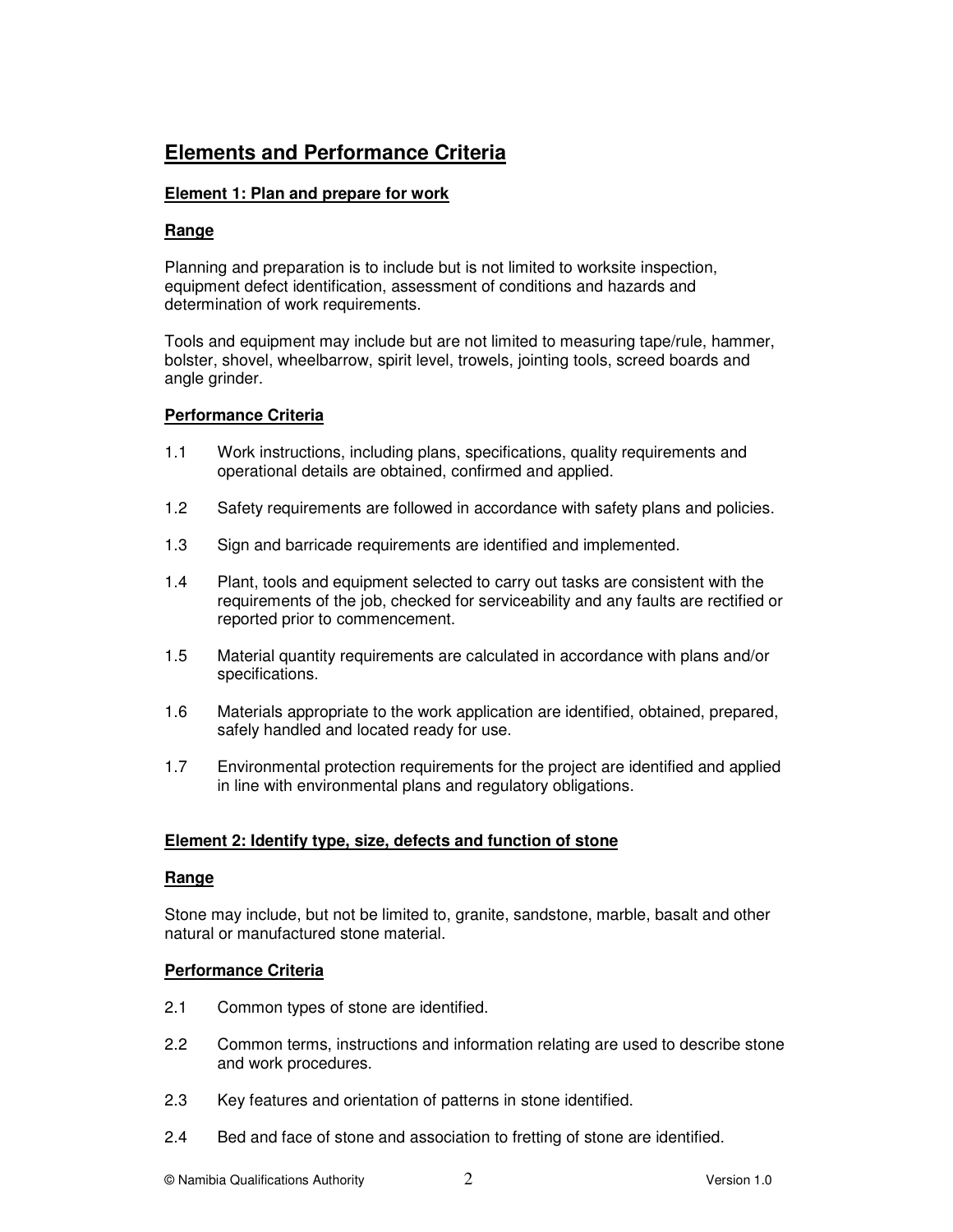# **Elements and Performance Criteria**

## **Element 1: Plan and prepare for work**

## **Range**

Planning and preparation is to include but is not limited to worksite inspection, equipment defect identification, assessment of conditions and hazards and determination of work requirements.

Tools and equipment may include but are not limited to measuring tape/rule, hammer, bolster, shovel, wheelbarrow, spirit level, trowels, jointing tools, screed boards and angle grinder.

## **Performance Criteria**

- 1.1 Work instructions, including plans, specifications, quality requirements and operational details are obtained, confirmed and applied.
- 1.2 Safety requirements are followed in accordance with safety plans and policies.
- 1.3 Sign and barricade requirements are identified and implemented.
- 1.4 Plant, tools and equipment selected to carry out tasks are consistent with the requirements of the job, checked for serviceability and any faults are rectified or reported prior to commencement.
- 1.5 Material quantity requirements are calculated in accordance with plans and/or specifications.
- 1.6 Materials appropriate to the work application are identified, obtained, prepared, safely handled and located ready for use.
- 1.7 Environmental protection requirements for the project are identified and applied in line with environmental plans and regulatory obligations.

## **Element 2: Identify type, size, defects and function of stone**

## **Range**

Stone may include, but not be limited to, granite, sandstone, marble, basalt and other natural or manufactured stone material.

## **Performance Criteria**

- 2.1 Common types of stone are identified.
- 2.2 Common terms, instructions and information relating are used to describe stone and work procedures.
- 2.3 Key features and orientation of patterns in stone identified.
- 2.4 Bed and face of stone and association to fretting of stone are identified.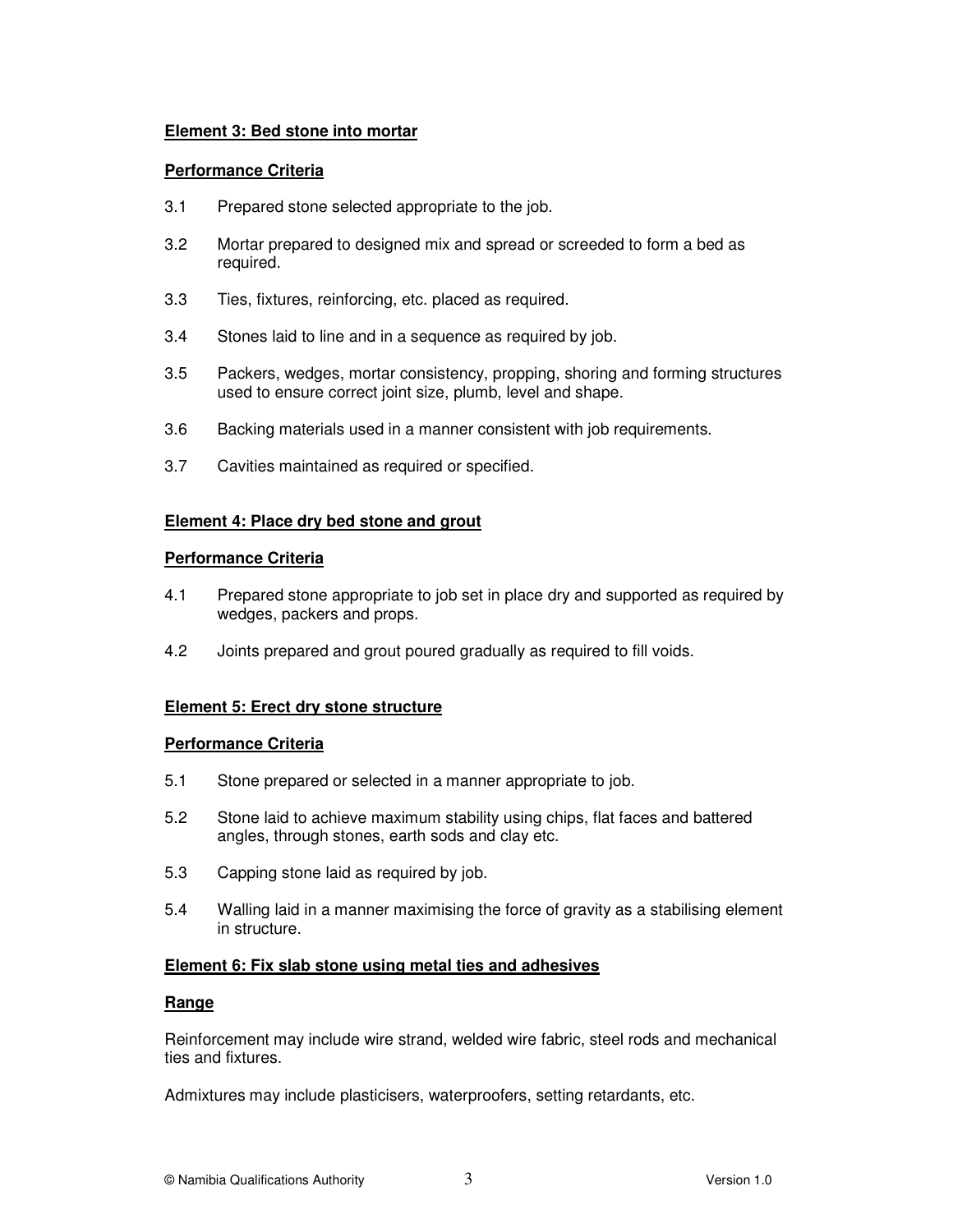## **Element 3: Bed stone into mortar**

## **Performance Criteria**

- 3.1 Prepared stone selected appropriate to the job.
- 3.2 Mortar prepared to designed mix and spread or screeded to form a bed as required.
- 3.3 Ties, fixtures, reinforcing, etc. placed as required.
- 3.4 Stones laid to line and in a sequence as required by job.
- 3.5 Packers, wedges, mortar consistency, propping, shoring and forming structures used to ensure correct joint size, plumb, level and shape.
- 3.6 Backing materials used in a manner consistent with job requirements.
- 3.7 Cavities maintained as required or specified.

#### **Element 4: Place dry bed stone and grout**

#### **Performance Criteria**

- 4.1 Prepared stone appropriate to job set in place dry and supported as required by wedges, packers and props.
- 4.2 Joints prepared and grout poured gradually as required to fill voids.

## **Element 5: Erect dry stone structure**

#### **Performance Criteria**

- 5.1 Stone prepared or selected in a manner appropriate to job.
- 5.2 Stone laid to achieve maximum stability using chips, flat faces and battered angles, through stones, earth sods and clay etc.
- 5.3 Capping stone laid as required by job.
- 5.4 Walling laid in a manner maximising the force of gravity as a stabilising element in structure.

#### **Element 6: Fix slab stone using metal ties and adhesives**

#### **Range**

Reinforcement may include wire strand, welded wire fabric, steel rods and mechanical ties and fixtures.

Admixtures may include plasticisers, waterproofers, setting retardants, etc.